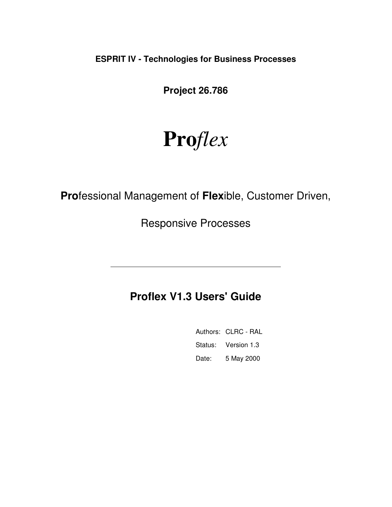**ESPRIT IV - Technologies for Business Processes** 

**Project 26.786** 

# **Pro***flex*

**Pro**fessional Management of **Flex**ible, Customer Driven,

Responsive Processes

## **Proflex V1.3 Users' Guide**

|       | Authors: CLRC - RAL |
|-------|---------------------|
|       | Status: Version 1.3 |
| Date: | 5 May 2000          |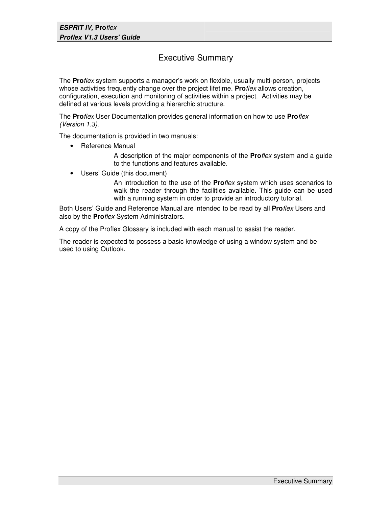### Executive Summary

The **Pro**flex system supports a manager's work on flexible, usually multi-person, projects whose activities frequently change over the project lifetime. **Pro**flex allows creation, configuration, execution and monitoring of activities within a project. Activities may be defined at various levels providing a hierarchic structure.

The **Pro**flex User Documentation provides general information on how to use **Pro**flex (Version 1.3).

The documentation is provided in two manuals:

• Reference Manual

A description of the major components of the **Pro**flex system and a guide to the functions and features available.

• Users' Guide (this document)

An introduction to the use of the **Pro**flex system which uses scenarios to walk the reader through the facilities available. This guide can be used with a running system in order to provide an introductory tutorial.

Both Users' Guide and Reference Manual are intended to be read by all **Pro**flex Users and also by the **Pro**flex System Administrators.

A copy of the Proflex Glossary is included with each manual to assist the reader.

The reader is expected to possess a basic knowledge of using a window system and be used to using Outlook.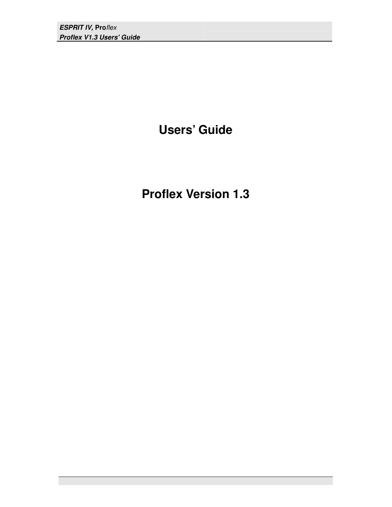## **Users' Guide**

**Proflex Version 1.3**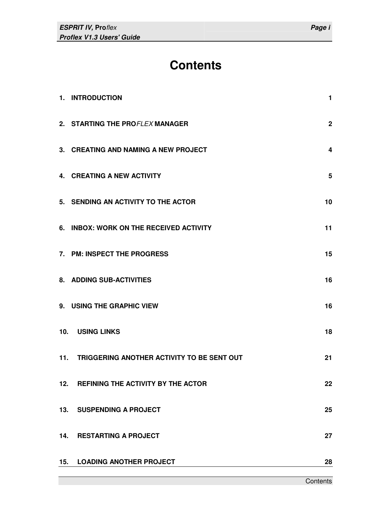## **Contents**

|     | 1. INTRODUCTION                                | 1              |
|-----|------------------------------------------------|----------------|
|     | 2. STARTING THE PROFLEX MANAGER                | 2 <sup>1</sup> |
|     | 3. CREATING AND NAMING A NEW PROJECT           | 4              |
|     | 4. CREATING A NEW ACTIVITY                     | 5              |
|     | 5. SENDING AN ACTIVITY TO THE ACTOR            | 10             |
|     | 6. INBOX: WORK ON THE RECEIVED ACTIVITY        | 11             |
|     | 7. PM: INSPECT THE PROGRESS                    | 15             |
|     | 8. ADDING SUB-ACTIVITIES                       | 16             |
|     | 9. USING THE GRAPHIC VIEW                      | 16             |
|     | 10. USING LINKS                                | 18             |
|     | 11. TRIGGERING ANOTHER ACTIVITY TO BE SENT OUT | 21             |
| 12. | REFINING THE ACTIVITY BY THE ACTOR             | 22             |
|     | 13. SUSPENDING A PROJECT                       | 25             |
| 14. | <b>RESTARTING A PROJECT</b>                    | 27             |
| 15. | <b>LOADING ANOTHER PROJECT</b>                 | 28             |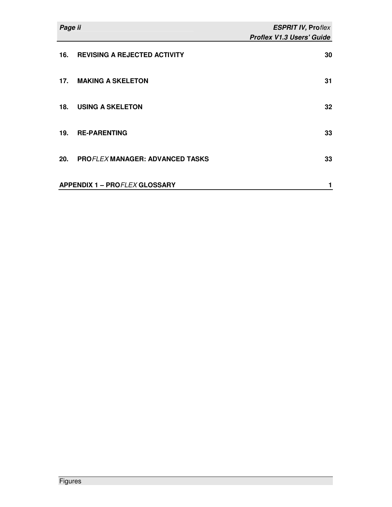| Page ii |                                        | <b>ESPRIT IV, Proflex</b>        |
|---------|----------------------------------------|----------------------------------|
|         |                                        | <b>Proflex V1.3 Users' Guide</b> |
| 16.     | <b>REVISING A REJECTED ACTIVITY</b>    | 30                               |
| 17.     | <b>MAKING A SKELETON</b>               | 31                               |
| 18.     | <b>USING A SKELETON</b>                | 32                               |
| 19.     | <b>RE-PARENTING</b>                    | 33                               |
| 20.     | <b>PROFLEX MANAGER: ADVANCED TASKS</b> | 33                               |
|         | <b>APPENDIX 1 - PROFLEX GLOSSARY</b>   | 1                                |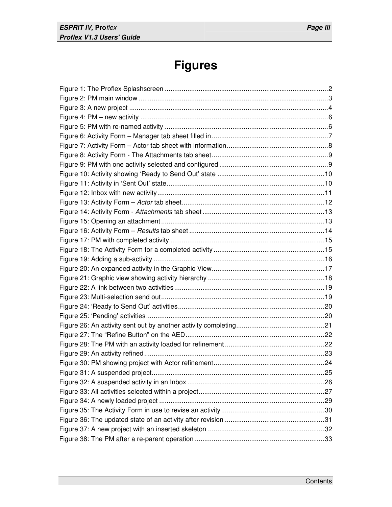## **Figures**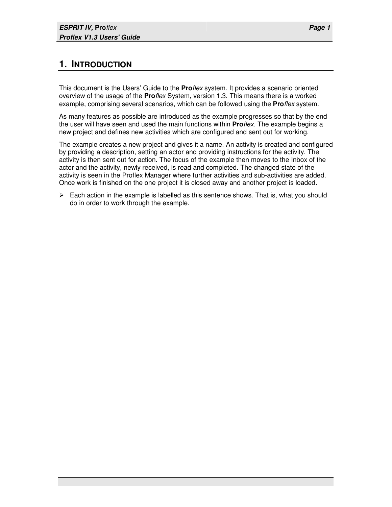## **1. INTRODUCTION**

This document is the Users' Guide to the **Pro**flex system. It provides a scenario oriented overview of the usage of the **Pro**flex System, version 1.3. This means there is a worked example, comprising several scenarios, which can be followed using the **Pro**flex system.

As many features as possible are introduced as the example progresses so that by the end the user will have seen and used the main functions within **Pro**flex. The example begins a new project and defines new activities which are configured and sent out for working.

The example creates a new project and gives it a name. An activity is created and configured by providing a description, setting an actor and providing instructions for the activity. The activity is then sent out for action. The focus of the example then moves to the Inbox of the actor and the activity, newly received, is read and completed. The changed state of the activity is seen in the Proflex Manager where further activities and sub-activities are added. Once work is finished on the one project it is closed away and another project is loaded.

 $\triangleright$  Each action in the example is labelled as this sentence shows. That is, what you should do in order to work through the example.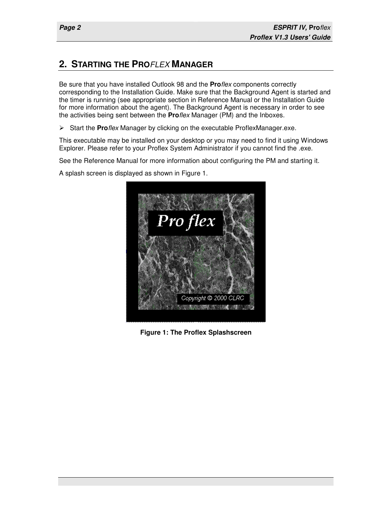## **2. STARTING THE PRO**FLEX **MANAGER**

Be sure that you have installed Outlook 98 and the **Pro**flex components correctly corresponding to the Installation Guide. Make sure that the Background Agent is started and the timer is running (see appropriate section in Reference Manual or the Installation Guide for more information about the agent). The Background Agent is necessary in order to see the activities being sent between the **Pro**flex Manager (PM) and the Inboxes.

Start the **Pro**flex Manager by clicking on the executable ProflexManager.exe.

This executable may be installed on your desktop or you may need to find it using Windows Explorer. Please refer to your Proflex System Administrator if you cannot find the .exe.

See the Reference Manual for more information about configuring the PM and starting it.

A splash screen is displayed as shown in Figure 1.



**Figure 1: The Proflex Splashscreen**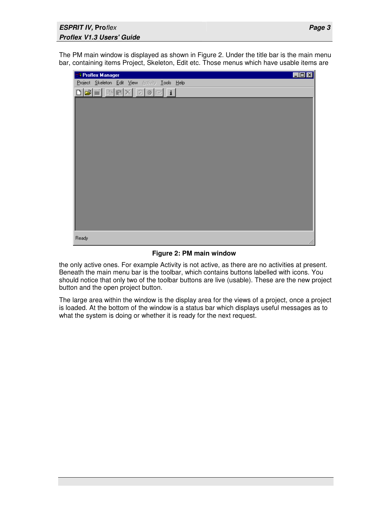The PM main window is displayed as shown in Figure 2. Under the title bar is the main menu bar, containing items Project, Skeleton, Edit etc. Those menus which have usable items are

| <b>13 Proflex Manager</b>                      | $\Box$ o $\Box$ |
|------------------------------------------------|-----------------|
| Project Skeleton Edit View Activity Tools Help |                 |
|                                                |                 |
|                                                |                 |
|                                                |                 |
|                                                |                 |
|                                                |                 |
|                                                |                 |
|                                                |                 |
|                                                |                 |
|                                                |                 |
|                                                |                 |
|                                                |                 |
|                                                |                 |
|                                                |                 |
|                                                |                 |
|                                                |                 |
| Ready                                          |                 |

**Figure 2: PM main window** 

the only active ones. For example Activity is not active, as there are no activities at present. Beneath the main menu bar is the toolbar, which contains buttons labelled with icons. You should notice that only two of the toolbar buttons are live (usable). These are the new project button and the open project button.

The large area within the window is the display area for the views of a project, once a project is loaded. At the bottom of the window is a status bar which displays useful messages as to what the system is doing or whether it is ready for the next request.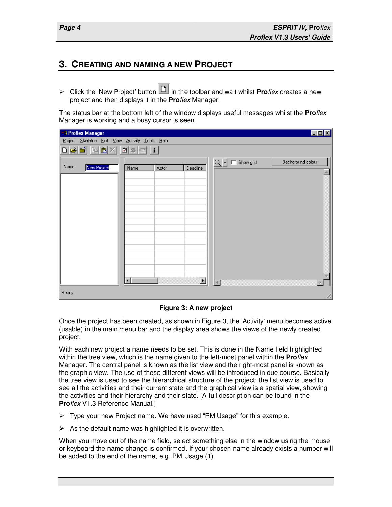### **3. CREATING AND NAMING A NEW PROJECT**

▶ Click the 'New Project' button **in** in the toolbar and wait whilst **Pro***flex* creates a new project and then displays it in the **Pro**flex Manager.

The status bar at the bottom left of the window displays useful messages whilst the **Pro**flex Manager is working and a busy cursor is seen.

| <b>R</b> Proflex Manager                       |                  |              |                          |       |                  | $\Box$ D $\boxtimes$ |
|------------------------------------------------|------------------|--------------|--------------------------|-------|------------------|----------------------|
| Project Skeleton Edit View Activity Tools Help |                  |              |                          |       |                  |                      |
| D e d'<br>酯<br>■ $×$                           | $\boxed{2}$<br>旧 | $\mathbf{i}$ |                          |       |                  |                      |
| Name<br>New Project                            | Name             | Actor        | Deadline                 | $Q$ - | $\Box$ Show grid | Background colour    |
|                                                |                  |              |                          |       |                  |                      |
|                                                |                  |              |                          |       |                  |                      |
|                                                |                  |              |                          |       |                  |                      |
|                                                |                  |              |                          |       |                  |                      |
|                                                |                  |              |                          |       |                  |                      |
|                                                |                  |              |                          |       |                  |                      |
|                                                |                  |              |                          |       |                  |                      |
|                                                |                  |              |                          |       |                  |                      |
|                                                |                  |              |                          |       |                  |                      |
|                                                |                  |              |                          |       |                  |                      |
|                                                |                  |              |                          |       |                  |                      |
|                                                | $\left  \right $ |              | $\overline{\phantom{0}}$ |       |                  |                      |
|                                                |                  |              |                          |       |                  |                      |
| Ready                                          |                  |              |                          |       |                  | h.                   |

**Figure 3: A new project** 

Once the project has been created, as shown in Figure 3, the 'Activity' menu becomes active (usable) in the main menu bar and the display area shows the views of the newly created project.

With each new project a name needs to be set. This is done in the Name field highlighted within the tree view, which is the name given to the left-most panel within the **Pro**flex Manager. The central panel is known as the list view and the right-most panel is known as the graphic view. The use of these different views will be introduced in due course. Basically the tree view is used to see the hierarchical structure of the project; the list view is used to see all the activities and their current state and the graphical view is a spatial view, showing the activities and their hierarchy and their state. [A full description can be found in the **Pro**flex V1.3 Reference Manual.]

- $\triangleright$  Type your new Project name. We have used "PM Usage" for this example.
- $\triangleright$  As the default name was highlighted it is overwritten.

When you move out of the name field, select something else in the window using the mouse or keyboard the name change is confirmed. If your chosen name already exists a number will be added to the end of the name, e.g. PM Usage (1).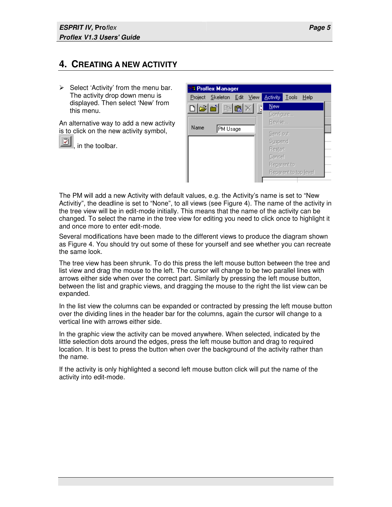## **4. CREATING A NEW ACTIVITY**

 $\triangleright$  Select 'Activity' from the menu bar. The activity drop down menu is displayed. Then select 'New' from this menu.

An alternative way to add a new activity is to click on the new activity symbol,

[2] in the toolbar.

| <b>R</b> Proflex Manager   |                               |
|----------------------------|-------------------------------|
| Project Skeleton Edit View | <b>Activity Lools</b><br>Help |
| $\cap$ e'e' be             | New                           |
|                            | Configure                     |
| Name                       | Revise                        |
| PM Usage                   | Send out                      |
|                            | Suspend                       |
|                            | <b>Restart</b>                |
|                            | Cancel                        |
|                            | Reparent to                   |
|                            | Reparent to top level         |
|                            |                               |

The PM will add a new Activity with default values, e.g. the Activity's name is set to "New Activitiy", the deadline is set to "None", to all views (see Figure 4). The name of the activity in the tree view will be in edit-mode initially. This means that the name of the activity can be changed. To select the name in the tree view for editing you need to click once to highlight it and once more to enter edit-mode.

Several modifications have been made to the different views to produce the diagram shown as Figure 4. You should try out some of these for yourself and see whether you can recreate the same look.

The tree view has been shrunk. To do this press the left mouse button between the tree and list view and drag the mouse to the left. The cursor will change to be two parallel lines with arrows either side when over the correct part. Similarly by pressing the left mouse button, between the list and graphic views, and dragging the mouse to the right the list view can be expanded.

In the list view the columns can be expanded or contracted by pressing the left mouse button over the dividing lines in the header bar for the columns, again the cursor will change to a vertical line with arrows either side.

In the graphic view the activity can be moved anywhere. When selected, indicated by the little selection dots around the edges, press the left mouse button and drag to required location. It is best to press the button when over the background of the activity rather than the name.

If the activity is only highlighted a second left mouse button click will put the name of the activity into edit-mode.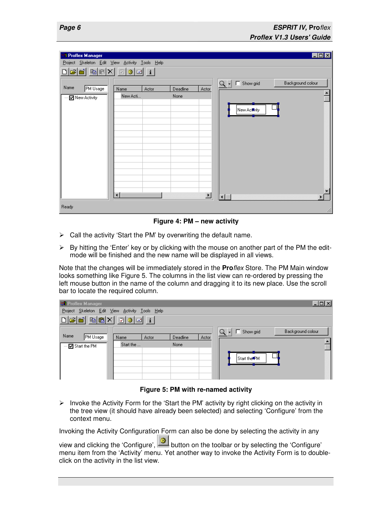| <b>B</b> Proflex Manager<br>Project Skeleton Edit View Activity Tools Help |                                  |                 |          |                          |                                | $\Box$ o $\times$     |
|----------------------------------------------------------------------------|----------------------------------|-----------------|----------|--------------------------|--------------------------------|-----------------------|
| <b>BEXI</b><br>اندائم                                                      | $\mathbb{Z}$ 3 $\mathbb{E}$      | $\vert i \vert$ |          |                          |                                |                       |
| Name<br><b>PM Usage</b>                                                    | Name                             | Actor           | Deadline | Actor                    | $Q \cdot$ $\Box$ Show grid     | Background colour     |
| ■ New Activity<br>                                                         | New Acti<br>$\overline{\bullet}$ |                 | None     | $\overline{\phantom{a}}$ | New Activity<br>$\blacksquare$ | $\blacktriangleright$ |
| Ready                                                                      |                                  |                 |          |                          |                                | h                     |

**Figure 4: PM – new activity** 

- $\triangleright$  Call the activity 'Start the PM' by overwriting the default name.
- $\triangleright$  By hitting the 'Enter' key or by clicking with the mouse on another part of the PM the editmode will be finished and the new name will be displayed in all views.

Note that the changes will be immediately stored in the **Pro**flex Store. The PM Main window looks something like Figure 5. The columns in the list view can re-ordered by pressing the left mouse button in the name of the column and dragging it to its new place. Use the scroll bar to locate the required column.

| <b>BR</b> Proflex Manager                                                    |           |       |          |       |                          |              | $\Box$ D $\Box$   |
|------------------------------------------------------------------------------|-----------|-------|----------|-------|--------------------------|--------------|-------------------|
| Project Skeleton Edit View Activity Tools Help                               |           |       |          |       |                          |              |                   |
| $\text{D}[\mathcal{B}[\mathbf{m}]\boxtimes[\mathbf{m}]\mathbf{m}]\mathbf{m}$ |           |       |          |       |                          |              |                   |
|                                                                              |           |       |          |       | $Q \cdot \Box$ Show grid |              | Background colour |
| Name<br>PM Usage                                                             | Name      | Actor | Deadline | Actor |                          |              |                   |
| --- <mark>☑</mark> Start the PM                                              | Start the |       | None     |       |                          |              |                   |
|                                                                              |           |       |          |       |                          |              |                   |
|                                                                              |           |       |          |       |                          | Start the PM |                   |
|                                                                              |           |       |          |       |                          |              |                   |
|                                                                              |           |       |          |       |                          |              |                   |
|                                                                              |           |       |          |       |                          |              |                   |

**Figure 5: PM with re-named activity** 

 $\triangleright$  Invoke the Activity Form for the 'Start the PM' activity by right clicking on the activity in the tree view (it should have already been selected) and selecting 'Configure' from the context menu.

Invoking the Activity Configuration Form can also be done by selecting the activity in any

view and clicking the 'Configure',  $\Box$  button on the toolbar or by selecting the 'Configure' menu item from the 'Activity' menu. Yet another way to invoke the Activity Form is to doubleclick on the activity in the list view.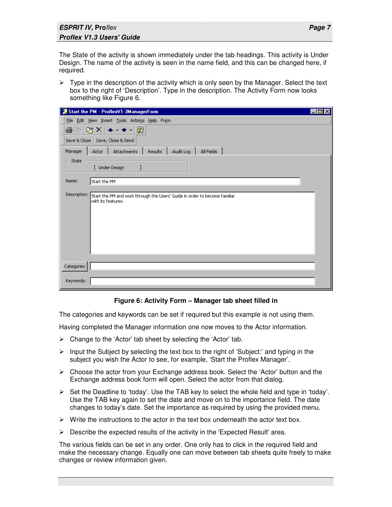#### **ESPRIT IV, Pro**flex **Proflex V1.3 Users' Guide**

The State of the activity is shown immediately under the tab headings. This activity is Under Design. The name of the activity is seen in the name field, and this can be changed here, if required.

 $\triangleright$  Type in the description of the activity which is only seen by the Manager. Select the text box to the right of 'Description'. Type in the description. The Activity Form now looks something like Figure 6.

| ** Start the PM - ProflexV1-3ManagerForm                                                                         | $ \Box$ |
|------------------------------------------------------------------------------------------------------------------|---------|
| File Edit View Insert Tools Actions Help Form                                                                    |         |
| 階×l♠・◆・l<br>图<br>6 to                                                                                            |         |
| Save, Close & Send<br>Save & Close                                                                               |         |
| All Fields<br>Attachments<br><b>Results</b><br>Audit Log<br>Manager<br><b>Actor</b>                              |         |
| State<br>[ Under Design                                                                                          |         |
| Name:<br>Start the PM                                                                                            |         |
| Description:<br>Start the PM and work through the Users' Guide in order to become familiar<br>with its features. |         |
| Categories                                                                                                       |         |
| Keywords:                                                                                                        |         |

#### **Figure 6: Activity Form – Manager tab sheet filled in**

The categories and keywords can be set if required but this example is not using them.

Having completed the Manager information one now moves to the Actor information.

- $\triangleright$  Change to the 'Actor' tab sheet by selecting the 'Actor' tab.
- $\triangleright$  Input the Subject by selecting the text box to the right of 'Subject:' and typing in the subject you wish the Actor to see, for example, 'Start the Proflex Manager'.
- $\triangleright$  Choose the actor from your Exchange address book. Select the 'Actor' button and the Exchange address book form will open. Select the actor from that dialog.
- $\triangleright$  Set the Deadline to 'today'. Use the TAB key to select the whole field and type in 'today'. Use the TAB key again to set the date and move on to the importance field. The date changes to today's date. Set the importance as required by using the provided menu.
- $\triangleright$  Write the instructions to the actor in the text box underneath the actor text box.
- $\triangleright$  Describe the expected results of the activity in the 'Expected Result' area.

The various fields can be set in any order. One only has to click in the required field and make the necessary change. Equally one can move between tab sheets quite freely to make changes or review information given.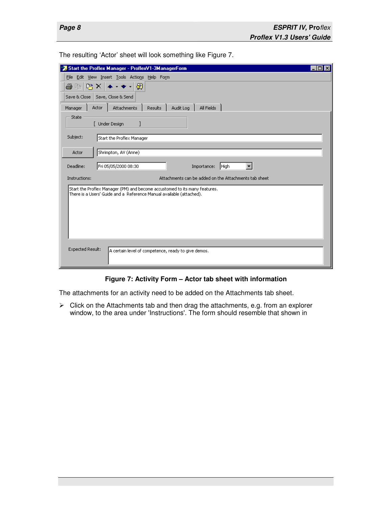The resulting 'Actor' sheet will look something like Figure 7.

| " Start the Proflex Manager - ProflexV1-3ManagerForm                                                                                               |
|----------------------------------------------------------------------------------------------------------------------------------------------------|
| File Edit View Insert Tools Actions Help Form                                                                                                      |
| ⊗<br>ê,<br>啓×<br>酯                                                                                                                                 |
| Save & Close   Save, Close & Send                                                                                                                  |
| Actor<br>Attachments<br>Results<br>Audit Log<br>All Fields<br>Manager                                                                              |
| State<br>[ Under Design                                                                                                                            |
| Subject:<br>Start the Proflex Manager                                                                                                              |
| Shrimpton, AV (Anne)<br>Actor                                                                                                                      |
| Fri 05/05/2000 08:30<br>Deadline:<br>Importance:<br>High                                                                                           |
| Attachments can be added on the Attachments tab sheet<br>Instructions:                                                                             |
| Start the Proflex Manager (PM) and become accustomed to its many features.<br>There is a Users' Guide and a Reference Manual available (attached). |
| Expected Result:<br>A certain level of competence, ready to give demos.                                                                            |

#### **Figure 7: Activity Form – Actor tab sheet with information**

The attachments for an activity need to be added on the Attachments tab sheet.

 $\triangleright$  Click on the Attachments tab and then drag the attachments, e.g. from an explorer window, to the area under 'Instructions'. The form should resemble that shown in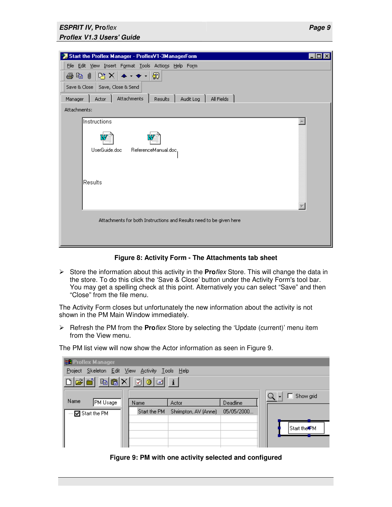#### **ESPRIT IV, Pro**flex **Proflex V1.3 Users' Guide**

| Start the Proflex Manager - ProflexV1-3ManagerForm                           |  |
|------------------------------------------------------------------------------|--|
| File Edit View Insert Format Tools Actions Help Form                         |  |
| PX → → → 図<br>手中し                                                            |  |
| Save & Close   Save, Close & Send                                            |  |
| Attachments<br>All Fields<br>Results<br>Audit Log<br>Manager<br><b>Actor</b> |  |
| Attachments:                                                                 |  |
| Instructions                                                                 |  |
|                                                                              |  |
| UserGuide.doc<br>ReferenceManual.doc,                                        |  |
|                                                                              |  |
| Results                                                                      |  |
|                                                                              |  |
|                                                                              |  |
|                                                                              |  |
| Attachments for both Instructions and Results need to be given here          |  |
|                                                                              |  |
|                                                                              |  |

#### **Figure 8: Activity Form - The Attachments tab sheet**

 Store the information about this activity in the **Pro**flex Store. This will change the data in the store. To do this click the 'Save & Close' button under the Activity Form's tool bar. You may get a spelling check at this point. Alternatively you can select "Save" and then "Close" from the file menu.

The Activity Form closes but unfortunately the new information about the activity is not shown in the PM Main Window immediately.

 Refresh the PM from the **Pro**flex Store by selecting the 'Update (current)' menu item from the View menu.

The PM list view will now show the Actor information as seen in Figure 9.

| <b>BR</b> Proflex Manager                      |                  |                      |            |              |  |  |  |  |  |  |
|------------------------------------------------|------------------|----------------------|------------|--------------|--|--|--|--|--|--|
| Project Skeleton Edit View Activity Tools Help |                  |                      |            |              |  |  |  |  |  |  |
|                                                |                  |                      |            |              |  |  |  |  |  |  |
|                                                | $\Box$ Show grid |                      |            |              |  |  |  |  |  |  |
| Name<br>PM Usage                               | Name             | Actor                | Deadline   |              |  |  |  |  |  |  |
| --- <mark>☑</mark> Start the PM                | Start the PM     | Shrimpton, AV (Anne) | 05/05/2000 |              |  |  |  |  |  |  |
|                                                |                  |                      |            |              |  |  |  |  |  |  |
|                                                |                  |                      |            | Start the PM |  |  |  |  |  |  |
|                                                |                  |                      |            |              |  |  |  |  |  |  |
|                                                |                  |                      |            |              |  |  |  |  |  |  |

**Figure 9: PM with one activity selected and configured**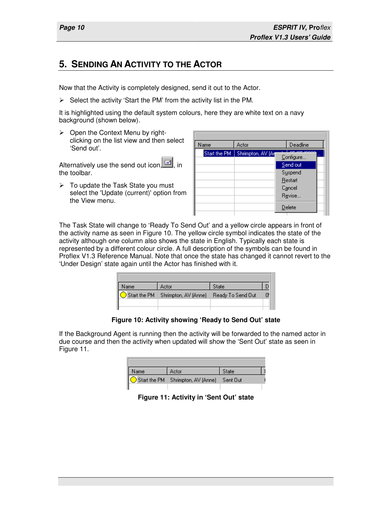### **5. SENDING AN ACTIVITY TO THE ACTOR**

Now that the Activity is completely designed, send it out to the Actor.

 $\triangleright$  Select the activity 'Start the PM' from the activity list in the PM.

It is highlighted using the default system colours, here they are white text on a navy background (shown below).

 $\triangleright$  Open the Context Menu by rightclicking on the list view and then select 'Send out'.

Alternatively use the send out icon,  $\boxed{=}$ , in the toolbar.

 $\triangleright$  To update the Task State you must select the 'Update (current)' option from the View menu.

| Name         | Actor              | Deadline              |  |
|--------------|--------------------|-----------------------|--|
| Start the PM | Shrimpton, AV (Art | om Ioooo<br>Configure |  |
|              |                    | Send out              |  |
|              |                    | Suspend               |  |
|              |                    | Restart               |  |
|              |                    | Cancel                |  |
|              |                    | Revise                |  |
|              |                    | Delete                |  |

The Task State will change to 'Ready To Send Out' and a yellow circle appears in front of the activity name as seen in Figure 10. The yellow circle symbol indicates the state of the activity although one column also shows the state in English. Typically each state is represented by a different colour circle. A full description of the symbols can be found in Proflex V1.3 Reference Manual. Note that once the state has changed it cannot revert to the 'Under Design' state again until the Actor has finished with it.

| Name | Actor                             | State             |  |
|------|-----------------------------------|-------------------|--|
|      | Start the PM Shrimpton, AV (Anne) | Ready To Send Out |  |
|      |                                   |                   |  |
|      |                                   |                   |  |

**Figure 10: Activity showing 'Ready to Send Out' state** 

If the Background Agent is running then the activity will be forwarded to the named actor in due course and then the activity when updated will show the 'Sent Out' state as seen in Figure 11.

| Name | Actor                                      | State |  |
|------|--------------------------------------------|-------|--|
|      | Start the PM Shrimpton, AV (Anne) Sent Out |       |  |
|      |                                            |       |  |

**Figure 11: Activity in 'Sent Out' state**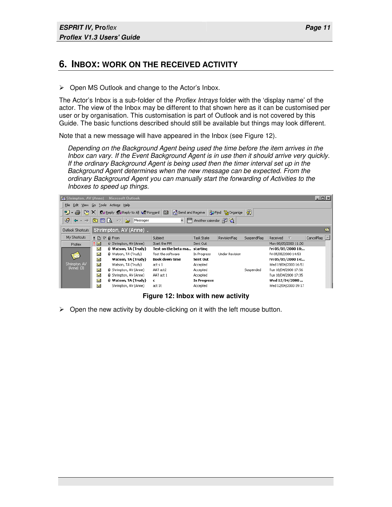#### **6. INBOX: WORK ON THE RECEIVED ACTIVITY**

 $\triangleright$  Open MS Outlook and change to the Actor's Inbox.

The Actor's Inbox is a sub-folder of the *Proflex Intrays* folder with the 'display name' of the actor. The view of the Inbox may be different to that shown here as it can be customised per user or by organisation. This customisation is part of Outlook and is not covered by this Guide. The basic functions described should still be available but things may look different.

Note that a new message will have appeared in the Inbox (see Figure 12).

Depending on the Background Agent being used the time before the item arrives in the Inbox can vary. If the Event Background Agent is in use then it should arrive very quickly. If the ordinary Background Agent is being used then the timer interval set up in the Background Agent determines when the new message can be expected. From the ordinary Background Agent you can manually start the forwarding of Activities to the Inboxes to speed up things.



**Figure 12: Inbox with new activity** 

 $\triangleright$  Open the new activity by double-clicking on it with the left mouse button.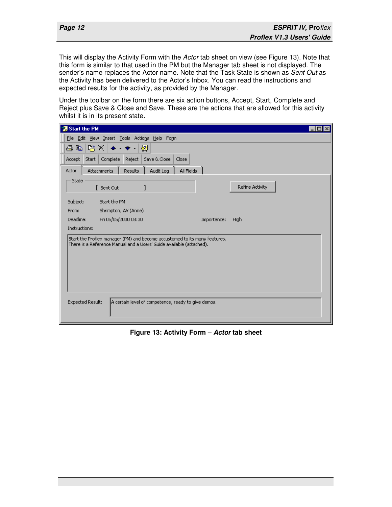This will display the Activity Form with the Actor tab sheet on view (see Figure 13). Note that this form is similar to that used in the PM but the Manager tab sheet is not displayed. The sender's name replaces the Actor name. Note that the Task State is shown as Sent Out as the Activity has been delivered to the Actor's Inbox. You can read the instructions and expected results for the activity, as provided by the Manager.

Under the toolbar on the form there are six action buttons, Accept, Start, Complete and Reject plus Save & Close and Save. These are the actions that are allowed for this activity whilst it is in its present state.

| <b>源 Start the PM</b>                                                                                                                              |  |
|----------------------------------------------------------------------------------------------------------------------------------------------------|--|
| View Insert Tools Actions Help Form<br>Eile<br>Edit -                                                                                              |  |
| D3.<br>⊗<br>ê<br>þ<br>×                                                                                                                            |  |
| Save & Close<br>Complete<br>Reject<br>Close<br>Accept<br>Start                                                                                     |  |
| Attachments<br>Audit Log<br>All Fields<br>Actor<br>Results                                                                                         |  |
| State<br>Refine Activity<br>Sent Out                                                                                                               |  |
| Subject:<br>Start the PM                                                                                                                           |  |
| Shrimpton, AV (Anne)<br>From:                                                                                                                      |  |
| Deadline:<br>Fri 05/05/2000 08:30<br>Importance:<br>High                                                                                           |  |
| Instructions:                                                                                                                                      |  |
| Start the Proflex manager (PM) and become accustomed to its many features.<br>There is a Reference Manual and a Users' Guide available (attached). |  |
| Expected Result:<br>A certain level of competence, ready to give demos.                                                                            |  |

**Figure 13: Activity Form – Actor tab sheet**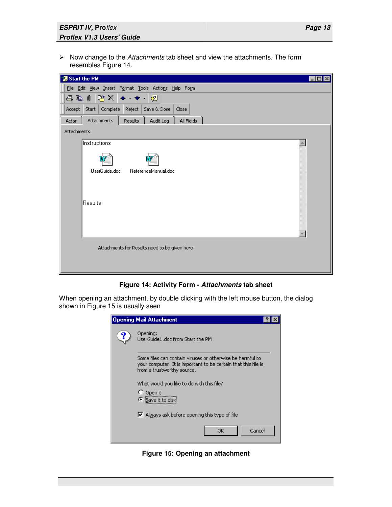$\triangleright$  Now change to the Attachments tab sheet and view the attachments. The form resembles Figure 14.



#### **Figure 14: Activity Form - Attachments tab sheet**

When opening an attachment, by double clicking with the left mouse button, the dialog shown in Figure 15 is usually seen

| Opening Mail Attachment                                                                                                                                   |
|-----------------------------------------------------------------------------------------------------------------------------------------------------------|
| Opening:<br>UserGuide1.doc from Start the PM                                                                                                              |
| Some files can contain viruses or otherwise be harmful to<br>your computer. It is important to be certain that this file is<br>from a trustworthy source. |
| What would you like to do with this file?<br>Open it<br>⊙ Save it to disk                                                                                 |
| $\triangleright$ Always ask before opening this type of file                                                                                              |
| Cancel<br>ОK                                                                                                                                              |

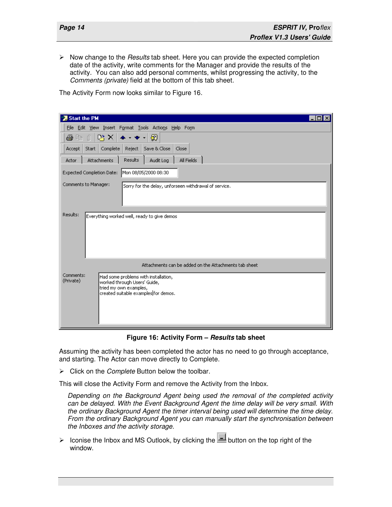$\triangleright$  Now change to the *Results* tab sheet. Here you can provide the expected completion date of the activity, write comments for the Manager and provide the results of the activity. You can also add personal comments, whilst progressing the activity, to the Comments (private) field at the bottom of this tab sheet.

The Activity Form now looks similar to Figure 16.

| <b>* Start the PM</b><br>- 101                                                                 |
|------------------------------------------------------------------------------------------------|
| File Edit View Insert Format Tools Actions Help Form                                           |
| $\mathbb{R} \times \mathbb{R}$<br>⊗<br>Ú<br>面<br>ê                                             |
| Save & Close<br>Complete<br>Reject  <br>Close<br><b>Start</b><br>Accept                        |
| Results<br>Attachments<br>All Fields<br>Audit Log<br>Actor                                     |
| Expected Completion Date: Mon 08/05/2000 08:30                                                 |
| Comments to Manager:<br>Sorry for the delay, unforseen withdrawal of service.                  |
|                                                                                                |
|                                                                                                |
| Results:<br>Everything worked well, ready to give demos                                        |
|                                                                                                |
|                                                                                                |
|                                                                                                |
|                                                                                                |
| Attachments can be added on the Attachments tab sheet                                          |
| Comments:<br>Had some problems with installation,<br>(Private)<br>worked through Users' Guide, |
| tried my own examples,                                                                         |
| created suitable examples for demos.                                                           |
|                                                                                                |
|                                                                                                |
|                                                                                                |

**Figure 16: Activity Form – Results tab sheet** 

Assuming the activity has been completed the actor has no need to go through acceptance, and starting. The Actor can move directly to Complete.

 $\triangleright$  Click on the *Complete* Button below the toolbar.

This will close the Activity Form and remove the Activity from the Inbox.

Depending on the Background Agent being used the removal of the completed activity can be delayed. With the Event Background Agent the time delay will be very small. With the ordinary Background Agent the timer interval being used will determine the time delay. From the ordinary Background Agent you can manually start the synchronisation between the Inboxes and the activity storage.

 $\triangleright$  Iconise the Inbox and MS Outlook, by clicking the  $b$  button on the top right of the window.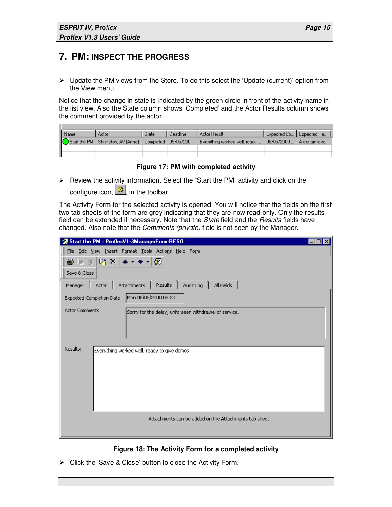**THE** 

### **7. PM: INSPECT THE PROGRESS**

 $\triangleright$  Update the PM views from the Store. To do this select the 'Update (current)' option from the View menu.

Notice that the change in state is indicated by the green circle in front of the activity name in the list view. Also the State column shows 'Completed' and the Actor Results column shows the comment provided by the actor.

| Name | Actor                             | <b>State</b> | Deadline            | Actor Result                                              | Expected Co   Expected Re |
|------|-----------------------------------|--------------|---------------------|-----------------------------------------------------------|---------------------------|
|      | Start the PM Shrimpton, AV (Anne) |              | Completed 05/05/200 | Everything worked well, ready  08/05/2000  A certain leve |                           |
|      |                                   |              |                     |                                                           |                           |
|      |                                   |              |                     |                                                           |                           |

#### **Figure 17: PM with completed activity**

 Review the activity information. Select the "Start the PM" activity and click on the configure icon,  $\bigcirc$  in the toolbar

The Activity Form for the selected activity is opened. You will notice that the fields on the first two tab sheets of the form are grey indicating that they are now read-only. Only the results field can be extended if necessary. Note that the State field and the Results fields have changed. Also note that the Comments (private) field is not seen by the Manager.

| Start the PM - ProflexV1-3ManagerForm-RESO                                      |  |
|---------------------------------------------------------------------------------|--|
| File Edit View Insert Format Tools Actions Help Form                            |  |
| 暗× ← ← → 図<br>手中的                                                               |  |
| Save & Close                                                                    |  |
| Results<br>All Fields<br>Audit Log<br>Attachments<br>Manager<br>Actor           |  |
| Expected Completion Date: Mon 08/05/2000 08:30                                  |  |
| <b>Actor Comments:</b><br>Sorry for the delay, unforseen withdrawal of service. |  |
| Results:<br>Everything worked well, ready to give demos                         |  |
| Attachments can be added on the Attachments tab sheet                           |  |

#### **Figure 18: The Activity Form for a completed activity**

 $\triangleright$  Click the 'Save & Close' button to close the Activity Form.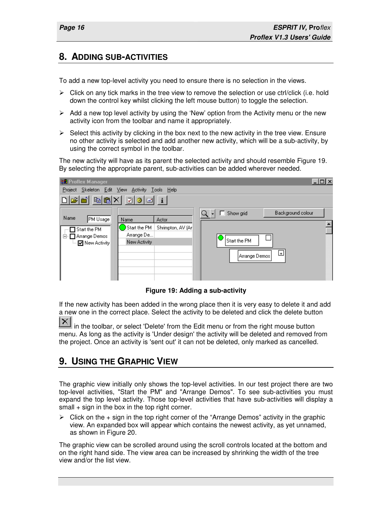#### **8. ADDING SUB-ACTIVITIES**

To add a new top-level activity you need to ensure there is no selection in the views.

- $\triangleright$  Click on any tick marks in the tree view to remove the selection or use ctrl/click (i.e. hold down the control key whilst clicking the left mouse button) to toggle the selection.
- $\triangleright$  Add a new top level activity by using the 'New' option from the Activity menu or the new activity icon from the toolbar and name it appropriately.
- $\triangleright$  Select this activity by clicking in the box next to the new activity in the tree view. Ensure no other activity is selected and add another new activity, which will be a sub-activity, by using the correct symbol in the toolbar.

The new activity will have as its parent the selected activity and should resemble Figure 19. By selecting the appropriate parent, sub-activities can be added wherever needed.

| <b>BR</b> Proflex Manager                                                                                                                                                           | $\Box$                                                                            |
|-------------------------------------------------------------------------------------------------------------------------------------------------------------------------------------|-----------------------------------------------------------------------------------|
| Project Skeleton Edit View Activity Tools Help                                                                                                                                      |                                                                                   |
| $\left \mathbf{E}[\mathbf{E} \mathbf{X} \mathbf{Z}]$ 3 $\left \mathbf{E}[\mathbf{I}]\right $                                                                                        |                                                                                   |
| Name<br>PM Usage<br>Name<br>Actor<br>Start the PM<br>Shrimpton, AV (Arl)<br>$\Box$ Start the PM<br>Arrange De<br>白 □ Arrange Demos<br>New Activity<br>— <mark>⊽</mark> New Activity | Background colour<br>Show grid<br>ш<br><b>Start the PM</b><br>ᄖ<br> Arrange Demos |

**Figure 19: Adding a sub-activity** 

If the new activity has been added in the wrong place then it is very easy to delete it and add a new one in the correct place. Select the activity to be deleted and click the delete button

 $\mathbf{X}$  in the toolbar, or select 'Delete' from the Edit menu or from the right mouse button menu. As long as the activity is 'Under design' the activity will be deleted and removed from the project. Once an activity is 'sent out' it can not be deleted, only marked as cancelled.

### **9. USING THE GRAPHIC VIEW**

The graphic view initially only shows the top-level activities. In our test project there are two top-level activities, "Start the PM" and "Arrange Demos". To see sub-activities you must expand the top level activity. Those top-level activities that have sub-activities will display a small + sign in the box in the top right corner.

 $\triangleright$  Click on the + sign in the top right corner of the "Arrange Demos" activity in the graphic view. An expanded box will appear which contains the newest activity, as yet unnamed, as shown in Figure 20.

The graphic view can be scrolled around using the scroll controls located at the bottom and on the right hand side. The view area can be increased by shrinking the width of the tree view and/or the list view.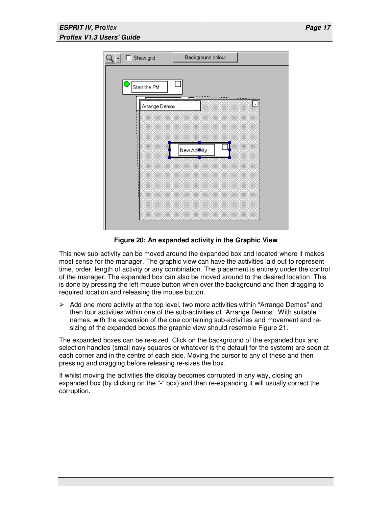

**Figure 20: An expanded activity in the Graphic View**

This new sub-activity can be moved around the expanded box and located where it makes most sense for the manager. The graphic view can have the activities laid out to represent time, order, length of activity or any combination. The placement is entirely under the control of the manager. The expanded box can also be moved around to the desired location. This is done by pressing the left mouse button when over the background and then dragging to required location and releasing the mouse button.

 $\triangleright$  Add one more activity at the top level, two more activities within "Arrange Demos" and then four activities within one of the sub-activities of "Arrange Demos. With suitable names, with the expansion of the one containing sub-activities and movement and resizing of the expanded boxes the graphic view should resemble Figure 21.

The expanded boxes can be re-sized. Click on the background of the expanded box and selection handles (small navy squares or whatever is the default for the system) are seen at each corner and in the centre of each side. Moving the cursor to any of these and then pressing and dragging before releasing re-sizes the box.

If whilst moving the activities the display becomes corrupted in any way, closing an expanded box (by clicking on the "-" box) and then re-expanding it will usually correct the corruption.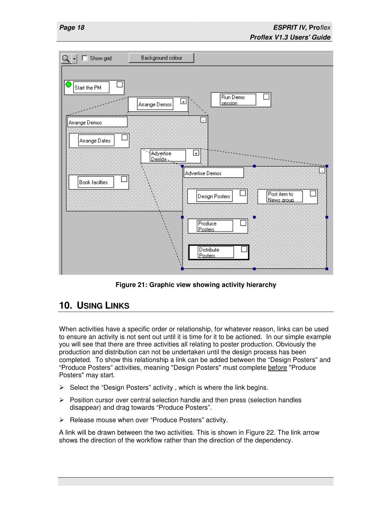

**Figure 21: Graphic view showing activity hierarchy** 

## **10. USING LINKS**

When activities have a specific order or relationship, for whatever reason, links can be used to ensure an activity is not sent out until it is time for it to be actioned. In our simple example you will see that there are three activities all relating to poster production. Obviously the production and distribution can not be undertaken until the design process has been completed. To show this relationship a link can be added between the "Design Posters" and "Produce Posters" activities, meaning "Design Posters" must complete before "Produce Posters" may start.

- $\triangleright$  Select the "Design Posters" activity, which is where the link begins.
- $\triangleright$  Position cursor over central selection handle and then press (selection handles disappear) and drag towards "Produce Posters".
- $\triangleright$  Release mouse when over "Produce Posters" activity.

A link will be drawn between the two activities. This is shown in Figure 22. The link arrow shows the direction of the workflow rather than the direction of the dependency.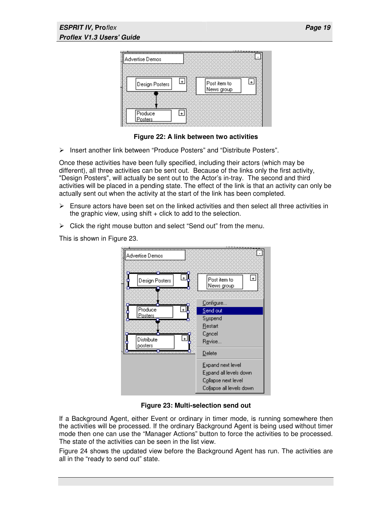

**Figure 22: A link between two activities** 

 $\triangleright$  Insert another link between "Produce Posters" and "Distribute Posters".

Once these activities have been fully specified, including their actors (which may be different), all three activities can be sent out. Because of the links only the first activity, "Design Posters", will actually be sent out to the Actor's in-tray. The second and third activities will be placed in a pending state. The effect of the link is that an activity can only be actually sent out when the activity at the start of the link has been completed.

- $\triangleright$  Ensure actors have been set on the linked activities and then select all three activities in the graphic view, using  $shift + click$  to add to the selection.
- $\triangleright$  Click the right mouse button and select "Send out" from the menu.

This is shown in Figure 23.



**Figure 23: Multi-selection send out** 

If a Background Agent, either Event or ordinary in timer mode, is running somewhere then the activities will be processed. If the ordinary Background Agent is being used without timer mode then one can use the "Manager Actions" button to force the activities to be processed. The state of the activities can be seen in the list view.

Figure 24 shows the updated view before the Background Agent has run. The activities are all in the "ready to send out" state.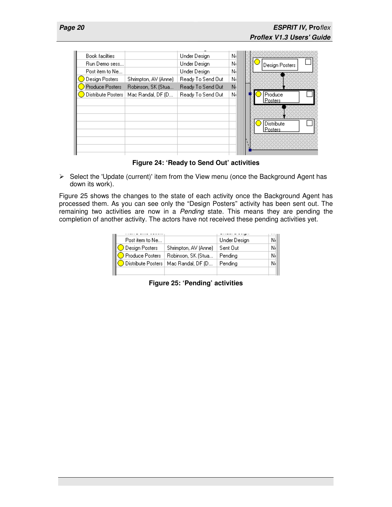| Book facilties     |                      | Under Design      | Νd |                   |
|--------------------|----------------------|-------------------|----|-------------------|
| Run Demo sess      |                      | Under Design      | Νı | Design Posters    |
| Post item to Ne    |                      | Under Design      | Νı |                   |
| Design Posters     | Shrimpton, AV (Anne) | Ready To Send Out | Νı |                   |
| Produce Posters    | Robinson, SK (Stua   | Ready To Send Out | Nı |                   |
| Distribute Posters | Mac Randal, DF (D    | Ready To Send Out | Νı | Produce           |
|                    |                      |                   |    | l P <u>osters</u> |
|                    |                      |                   |    |                   |
|                    |                      |                   |    |                   |
|                    |                      |                   |    | Distribute        |
|                    |                      |                   |    | Posters           |
|                    |                      |                   |    |                   |
|                    |                      |                   |    |                   |
|                    |                      |                   |    |                   |

**Figure 24: 'Ready to Send Out' activities** 

 $\triangleright$  Select the 'Update (current)' item from the View menu (once the Background Agent has down its work).

Figure 25 shows the changes to the state of each activity once the Background Agent has processed them. As you can see only the "Design Posters" activity has been sent out. The remaining two activities are now in a Pending state. This means they are pending the completion of another activity. The actors have not received these pending activities yet.

| Post item to Ne            |                                          | Under Design | ΝĻ |
|----------------------------|------------------------------------------|--------------|----|
| $\bigcirc$ Design Posters  | Shrimpton, AV (Anne)                     | Sent Out     | Νł |
| $\bigcirc$ Produce Posters | Robinson, SK (Stua                       | Pending      | Νł |
|                            | O Distribute Posters   Mac Randal, DF (D | Pendina      | Νł |
|                            |                                          |              |    |

**Figure 25: 'Pending' activities**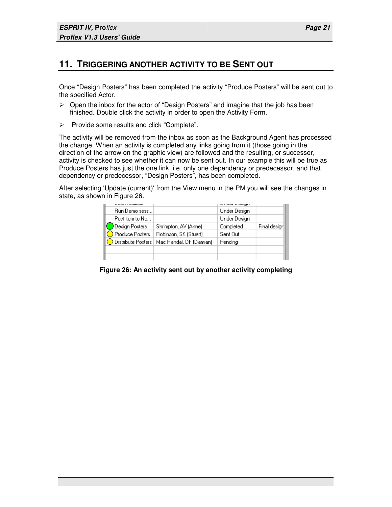### **11. TRIGGERING ANOTHER ACTIVITY TO BE SENT OUT**

Once "Design Posters" has been completed the activity "Produce Posters" will be sent out to the specified Actor.

- $\triangleright$  Open the inbox for the actor of "Design Posters" and imagine that the job has been finished. Double click the activity in order to open the Activity Form.
- $\triangleright$  Provide some results and click "Complete".

The activity will be removed from the inbox as soon as the Background Agent has processed the change. When an activity is completed any links going from it (those going in the direction of the arrow on the graphic view) are followed and the resulting, or successor, activity is checked to see whether it can now be sent out. In our example this will be true as Produce Posters has just the one link, i.e. only one dependency or predecessor, and that dependency or predecessor, "Design Posters", has been completed.

After selecting 'Update (current)' from the View menu in the PM you will see the changes in state, as shown in Figure 26.

| Run Demo sess               |                          | Under Design |              |
|-----------------------------|--------------------------|--------------|--------------|
| Post item to Ne             |                          | Under Design |              |
| Design Posters              | Shrimpton, AV (Anne)     | Completed    | Final design |
| ◯ Produce Posters           | Robinson, SK (Stuart)    | Sent Out     |              |
| <b>O</b> Distribute Posters | Mac Randal, DF (Damian). | Pending      |              |
|                             |                          |              |              |
|                             |                          |              |              |

**Figure 26: An activity sent out by another activity completing**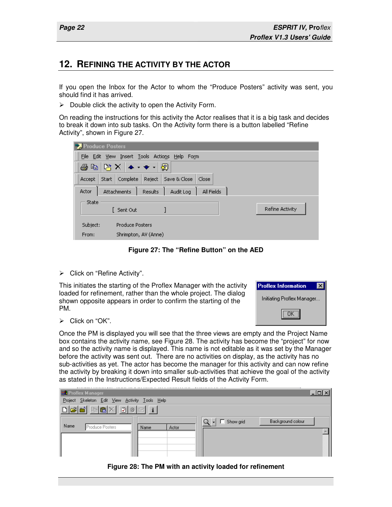#### **12. REFINING THE ACTIVITY BY THE ACTOR**

If you open the Inbox for the Actor to whom the "Produce Posters" activity was sent, you should find it has arrived.

 $\triangleright$  Double click the activity to open the Activity Form.

On reading the instructions for this activity the Actor realises that it is a big task and decides to break it down into sub tasks. On the Activity form there is a button labelled "Refine Activity", shown in Figure 27.



**Figure 27: The "Refine Button" on the AED** 

Click on "Refine Activity".

This initiates the starting of the Proflex Manager with the activity loaded for refinement, rather than the whole project. The dialog shown opposite appears in order to confirm the starting of the PM.

| <b>Proflex Information</b> |
|----------------------------|
| Initiating Proflex Manager |
|                            |

 $\triangleright$  Click on "OK".

Once the PM is displayed you will see that the three views are empty and the Project Name box contains the activity name, see Figure 28. The activity has become the "project" for now and so the activity name is displayed. This name is not editable as it was set by the Manager before the activity was sent out. There are no activities on display, as the activity has no sub-activities as yet. The actor has become the manager for this activity and can now refine the activity by breaking it down into smaller sub-activities that achieve the goal of the activity as stated in the Instructions/Expected Result fields of the Activity Form.

| <b>HE</b> Proflex Manager                      |               | <u>.</u>            |                   |
|------------------------------------------------|---------------|---------------------|-------------------|
| Project Skeleton Edit View Activity Tools Help |               |                     |                   |
| ded Grix døe i                                 |               |                     |                   |
| Name<br>Produce Posters                        | Actor<br>Name | Show grid<br>् -∣ □ | Background colour |
|                                                |               |                     |                   |

**Figure 28: The PM with an activity loaded for refinement**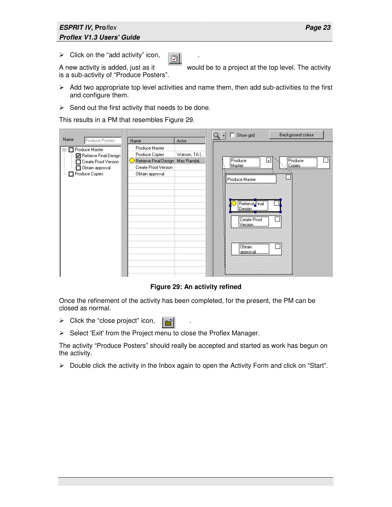#### **ESPRIT IV, Pro**flex **Proflex V1.3 Users' Guide**

> Click on the "add activity" icon,  $\boxed{3}$ 

is a sub-activity of "Produce Posters".

A new activity is added, just as it would be to a project at the top level. The activity

- $\triangleright$  Add two appropriate top level activities and name them, then add sub-activities to the first and configure them.
- $\triangleright$  Send out the first activity that needs to be done.

This results in a PM that resembles Figure 29.

|                                                                                                                                             |                                                                                                                           |                       | $Q + \Box$ | Show grid                                                                                                                          | Background colour      |
|---------------------------------------------------------------------------------------------------------------------------------------------|---------------------------------------------------------------------------------------------------------------------------|-----------------------|------------|------------------------------------------------------------------------------------------------------------------------------------|------------------------|
| Name<br>Produce Posters<br>⊟- El Produce Master<br>☑ Retrieve Final Design<br>Create Proof Version<br>… □ Obtain approval<br>Produce Copies | Name<br>Produce Master<br>Produce Copies<br>Retrieve Final Design Mac Randal,.<br>Create Proof Version<br>Obtain approval | Actor<br>Watson, TA [ |            | Produce<br>$\overline{+}$<br>Master<br>Produce Master<br>Retrieve Final<br>Desian<br>Create Proof<br>Version<br>Obtain<br>approval | Produce<br>Copies<br>u |

**Figure 29: An activity refined** 

Once the refinement of the activity has been completed, for the present, the PM can be closed as normal.

- $\triangleright$  Click the "close project" icon,  $\left[\begin{array}{c|c} \hline \text{A} \\ \hline \text{C} \end{array}\right]$
- $\triangleright$  Select 'Exit' from the Project menu to close the Proflex Manager.

The activity "Produce Posters" should really be accepted and started as work has begun on the activity.

 $\triangleright$  Double click the activity in the Inbox again to open the Activity Form and click on "Start".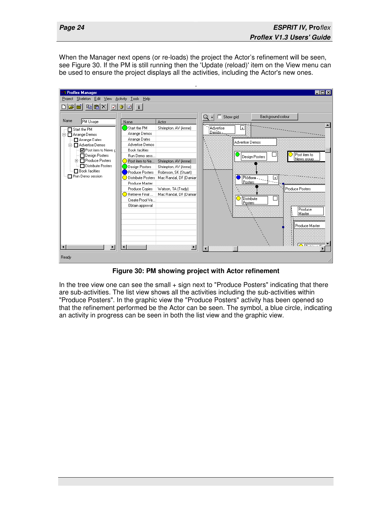When the Manager next opens (or re-loads) the project the Actor's refinement will be seen, see Figure 30. If the PM is still running then the 'Update (reload)' item on the View menu can be used to ensure the project displays all the activities, including the Actor's new ones.



**Figure 30: PM showing project with Actor refinement**

In the tree view one can see the small + sign next to "Produce Posters" indicating that there are sub-activities. The list view shows all the activities including the sub-activities within "Produce Posters". In the graphic view the "Produce Posters" activity has been opened so that the refinement performed be the Actor can be seen. The symbol, a blue circle, indicating an activity in progress can be seen in both the list view and the graphic view.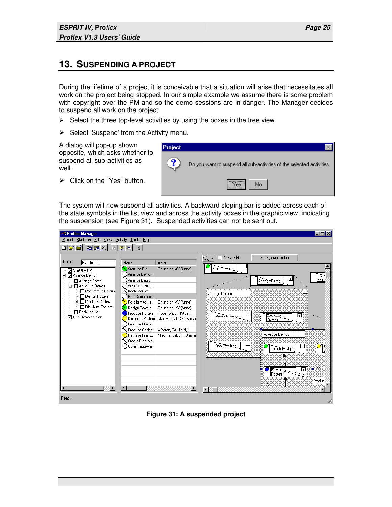#### **13. SUSPENDING A PROJECT**

During the lifetime of a project it is conceivable that a situation will arise that necessitates all work on the project being stopped. In our simple example we assume there is some problem with copyright over the PM and so the demo sessions are in danger. The Manager decides to suspend all work on the project.

- $\triangleright$  Select the three top-level activities by using the boxes in the tree view.
- $\triangleright$  Select 'Suspend' from the Activity menu.

A dialog will pop-up shown opposite, which asks whether to suspend all sub-activities as well.

 $\triangleright$  Click on the "Yes" button.



The system will now suspend all activities. A backward sloping bar is added across each of the state symbols in the list view and across the activity boxes in the graphic view, indicating the suspension (see Figure 31). Suspended activities can not be sent out.

| Project Skeleton Edit View Activity Tools Help                                                                                                                                                                                                                                                                                                                                                                                                                                                                                                                                                                                                                                                                                                                                                                                                                                                                                                                                                                                                                                                                                                     |  |  |  |  |  |  |  |
|----------------------------------------------------------------------------------------------------------------------------------------------------------------------------------------------------------------------------------------------------------------------------------------------------------------------------------------------------------------------------------------------------------------------------------------------------------------------------------------------------------------------------------------------------------------------------------------------------------------------------------------------------------------------------------------------------------------------------------------------------------------------------------------------------------------------------------------------------------------------------------------------------------------------------------------------------------------------------------------------------------------------------------------------------------------------------------------------------------------------------------------------------|--|--|--|--|--|--|--|
| G 6 6 7 7 8 9 1                                                                                                                                                                                                                                                                                                                                                                                                                                                                                                                                                                                                                                                                                                                                                                                                                                                                                                                                                                                                                                                                                                                                    |  |  |  |  |  |  |  |
| $\Box$ Show grid<br>Background colour<br>Q<br>Name<br>PM Usage<br>Actor<br>Name<br>Start the PM<br>Start the PM<br>Shrimpton, AV (Anne)<br>□ Start the PM<br>Arrange Demos<br>白 M Arrange Demos<br>`Rūm∼<br>⊔<br>∖) Arrange Dates<br>sess<br>Arrange Dates<br>Arrange Demos<br>Advertise Demos<br><b>E</b> - Advertise Demos<br>∣(∕) Book facilties<br>Post item to News d<br>Arrange Demos<br>Design Posters<br>NRun Demo sess<br><b>由 ■</b> Produce Posters<br>$\bigcirc$ Post item to Ne<br>Shrimpton, AV (Anne)<br>Distribute Posters<br>Design Posters<br>Shrimpton, AV (Anne)<br>Book facilties<br>Produce Posters<br>Robinson, SK (Stuart)<br>╔<br><b>Advertise</b><br>Arrange Bates<br><b>☑</b> Run Demo session<br>Distribute Posters<br>Mac Randal, DF (Damiar)<br>Demos<br>◯ Produce Master<br>Produce Copies<br>Watson, TA (Trudy)<br>Advertise Demos<br>$\bigcirc$ Retrieve Final<br>Mac Randal, DF (Damiar)<br>◯ Create Proof Ve<br><b>Book Tacillies</b><br>$\searrow$ Obtain approval<br>Design Pesters<br>Produce.<br>$\overline{+}$<br>Posters<br>Produci<br>$\overline{\phantom{a}}$<br>$\blacksquare$<br>$\blacktriangleright$ |  |  |  |  |  |  |  |
| Ready                                                                                                                                                                                                                                                                                                                                                                                                                                                                                                                                                                                                                                                                                                                                                                                                                                                                                                                                                                                                                                                                                                                                              |  |  |  |  |  |  |  |

**Figure 31: A suspended project**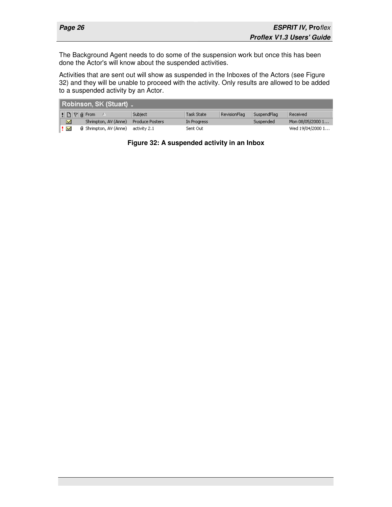The Background Agent needs to do some of the suspension work but once this has been done the Actor's will know about the suspended activities.

Activities that are sent out will show as suspended in the Inboxes of the Actors (see Figure 32) and they will be unable to proceed with the activity. Only results are allowed to be added to a suspended activity by an Actor.

| Robinson, SK (Stuart) 。                                            |                        |             |              |             |                  |
|--------------------------------------------------------------------|------------------------|-------------|--------------|-------------|------------------|
| $  \cdot  _1 \otimes   \cdot  _2$ From<br>$\overline{\phantom{a}}$ | Subject                | Task State  | RevisionFlag | SuspendFlag | Received         |
| Shrimpton, AV (Anne)<br>$\mathbf{x}$                               | <b>Produce Posters</b> | In Progress |              | Suspended   | Mon 08/05/2000 1 |
| l ≹ XX<br><b>0</b> Shrimpton, AV (Anne)                            | activity 2.1           | Sent Out    |              |             | Wed 19/04/2000 1 |

#### **Figure 32: A suspended activity in an Inbox**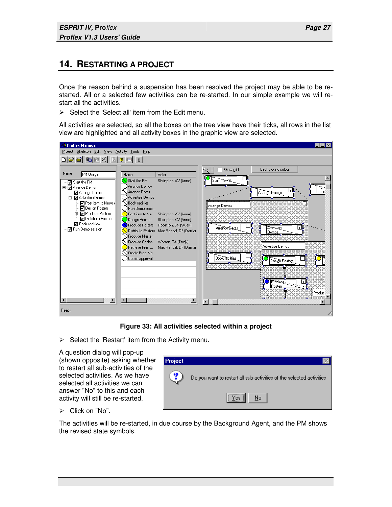### **14. RESTARTING A PROJECT**

Once the reason behind a suspension has been resolved the project may be able to be restarted. All or a selected few activities can be re-started. In our simple example we will restart all the activities.

 $\triangleright$  Select the 'Select all' item from the Edit menu.

All activities are selected, so all the boxes on the tree view have their ticks, all rows in the list view are highlighted and all activity boxes in the graphic view are selected.

| <b>Proflex Manager</b>                                                                                                                                                                                                                                                                                                                                                                                                                                                                                                                                                                                                                                                                                                                                                                                                                                       | $\overline{z}$ $\overline{z}$ $\overline{z}$                                                                                                                                                                                                                                                                          |
|--------------------------------------------------------------------------------------------------------------------------------------------------------------------------------------------------------------------------------------------------------------------------------------------------------------------------------------------------------------------------------------------------------------------------------------------------------------------------------------------------------------------------------------------------------------------------------------------------------------------------------------------------------------------------------------------------------------------------------------------------------------------------------------------------------------------------------------------------------------|-----------------------------------------------------------------------------------------------------------------------------------------------------------------------------------------------------------------------------------------------------------------------------------------------------------------------|
| Project Skeleton Edit View Activity Tools Help                                                                                                                                                                                                                                                                                                                                                                                                                                                                                                                                                                                                                                                                                                                                                                                                               |                                                                                                                                                                                                                                                                                                                       |
| - 6 6 X 1 0 1<br>-8 E i<br>اخرا                                                                                                                                                                                                                                                                                                                                                                                                                                                                                                                                                                                                                                                                                                                                                                                                                              |                                                                                                                                                                                                                                                                                                                       |
| Name<br>PM Usage<br>Actor<br>Name<br>Start the PM<br>Shrimpton, AV (Anne)<br>D Start the PM<br>Arrange Demos<br>白 M Arrange Demos<br>Arrange Dates<br>Arrange Dates<br>Advertise Demos<br>白· M Advertise Demos<br><b>NBook</b> facilties<br><b>☑</b> Post item to News d<br>Design Posters<br>◯ Run Demo sess<br><b>h</b> M Produce Posters<br>$\bigcup$ Post item to Ne<br>Shrimpton, AV (Anne)<br>Distribute Posters<br>◯ Design Posters<br>Shrimpton, AV (Anne)<br>☑ Book facilties<br>Produce Posters<br>Robinson, SK (Stuart)<br>◘ Run Demo session<br>Distribute Posters Mac Randal, DF (Damiar<br>O Produce Master<br>Produce Copies<br>Watson, TA (Trudy)<br>$\bigcirc$ Retrieve Final<br>Mac Randal, DF (Damiar<br>) Create Proof Ve<br>Obtain approval<br>$\blacktriangleright$<br>$\blacktriangleright$<br>$\blacktriangleleft$<br>$\blacksquare$ | Background colour<br>$\Box$ Show arid<br>Q<br>Start the RM<br>Pitm−<br>$\overline{\mathbf{F}}$<br>sessi<br>Arrange Bemos<br>Arrange Demos<br>Œ,<br>Advertise<br>Arrange Bates<br>Demos<br>Advertise Demos<br><b>Book Tacillies</b><br>Design Posters<br>Produce<br>$+1$<br>Posters<br>Product<br>$\blacktriangleleft$ |
| Ready                                                                                                                                                                                                                                                                                                                                                                                                                                                                                                                                                                                                                                                                                                                                                                                                                                                        |                                                                                                                                                                                                                                                                                                                       |

**Figure 33: All activities selected within a project**

 $\triangleright$  Select the 'Restart' item from the Activity menu.

A question dialog will pop-up (shown opposite) asking whether to restart all sub-activities of the selected activities. As we have selected all activities we can answer "No" to this and each activity will still be re-started.



 $\triangleright$  Click on "No".

The activities will be re-started, in due course by the Background Agent, and the PM shows the revised state symbols.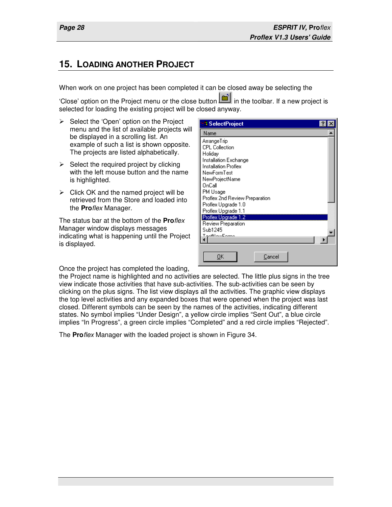$\overline{\mathbf{r}}$ 

## **15. LOADING ANOTHER PROJECT**

When work on one project has been completed it can be closed away be selecting the

'Close' option on the Project menu or the close button **in the toolbar.** If a new project is selected for loading the existing project will be closed anyway.

**SelectProject** 

Installation Exchange Installation Proflex

Name ArrangeTrip CPL Collection Holiday

- $\triangleright$  Select the 'Open' option on the Project menu and the list of available projects will be displayed in a scrolling list. An example of such a list is shown opposite. The projects are listed alphabetically.
- $\triangleright$  Select the required project by clicking with the left mouse button and the name is highlighted.
- $\triangleright$  Click OK and the named project will be retrieved from the Store and loaded into the **Pro**flex Manager.

The status bar at the bottom of the **Pro**flex Manager window displays messages indicating what is happening until the Project is displayed.

NewFormTest NewProjectName OnCall PM Usage Proflex 2nd Review Preparation Proflex Upgrade 1.0 Proflex Upgrade 1.1 Proflex Upgrade 1.2 Review Preparation Sub1245 TactMourEcono  $QK$ Cancel

Once the project has completed the loading,

the Project name is highlighted and no activities are selected. The little plus signs in the tree view indicate those activities that have sub-activities. The sub-activities can be seen by clicking on the plus signs. The list view displays all the activities. The graphic view displays the top level activities and any expanded boxes that were opened when the project was last closed. Different symbols can be seen by the names of the activities, indicating different states. No symbol implies "Under Design", a yellow circle implies "Sent Out", a blue circle implies "In Progress", a green circle implies "Completed" and a red circle implies "Rejected".

The **Pro**flex Manager with the loaded project is shown in Figure 34.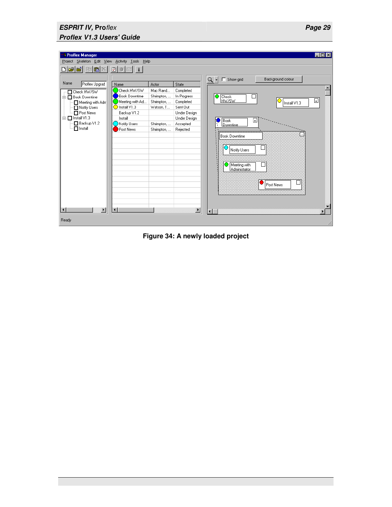| <b>3 Proflex Manager</b>                                                                                                                                        |                                                                                                                                                  |                                                                                        |                                                                                                                    | $-$ 0 $\times$                                                                                                                                                                                                                               |  |  |
|-----------------------------------------------------------------------------------------------------------------------------------------------------------------|--------------------------------------------------------------------------------------------------------------------------------------------------|----------------------------------------------------------------------------------------|--------------------------------------------------------------------------------------------------------------------|----------------------------------------------------------------------------------------------------------------------------------------------------------------------------------------------------------------------------------------------|--|--|
| Project Skeleton Edit View Activity Tools Help                                                                                                                  |                                                                                                                                                  |                                                                                        |                                                                                                                    |                                                                                                                                                                                                                                              |  |  |
| <b>ha</b> X<br>انهای                                                                                                                                            | 図<br>3 三<br>$\vert i \vert$                                                                                                                      |                                                                                        |                                                                                                                    |                                                                                                                                                                                                                                              |  |  |
| Name<br>Proflex Upgrad<br>Check HW/SW<br>□ Book Downtime<br>Meeting with Adm<br>Notify Users<br>□ Post News<br>白□ Install V1.3<br>Backup V1.2<br>$\Box$ Install | Name<br>Check HW/SW<br><b>Book Downtime</b><br>Meeting with Ad<br>$\bigodot$ Install V1.3<br>Backup V1.2<br>Install<br>Notify Users<br>Post News | Actor<br>Mac Rand<br>Shrimpton,<br>Shrimpton,<br>Watson, T<br>Shrimpton,<br>Shrimpton, | State<br>Completed<br>In Progress<br>Completed<br>Sent Out<br>Under Design<br>Under Design<br>Accepted<br>Rejected | Background colour<br>$\Box$ Show grid<br>$Q -$<br>$\bigcirc$ Check<br>⊡<br>I HW/SW<br>Install V1.3<br><b>Book</b><br>$\overline{+}$<br>Downtime<br><b>Book Downtime</b><br>Notify Users<br>Meeting with<br>Administrator<br>- 1<br>Post News |  |  |
| $\overline{\mathbf{1}}$<br>$\blacktriangleright$                                                                                                                | $\blacktriangleleft$                                                                                                                             |                                                                                        | $\overline{ }$                                                                                                     | $\blacksquare$                                                                                                                                                                                                                               |  |  |
| Ready                                                                                                                                                           |                                                                                                                                                  |                                                                                        |                                                                                                                    | h                                                                                                                                                                                                                                            |  |  |

**Figure 34: A newly loaded project**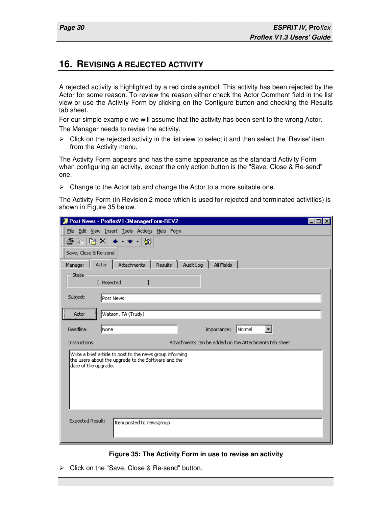#### **16. REVISING A REJECTED ACTIVITY**

A rejected activity is highlighted by a red circle symbol. This activity has been rejected by the Actor for some reason. To review the reason either check the Actor Comment field in the list view or use the Activity Form by clicking on the Configure button and checking the Results tab sheet.

For our simple example we will assume that the activity has been sent to the wrong Actor.

The Manager needs to revise the activity.

 $\triangleright$  Click on the rejected activity in the list view to select it and then select the 'Revise' item from the Activity menu.

The Activity Form appears and has the same appearance as the standard Activity Form when configuring an activity, except the only action button is the "Save, Close & Re-send" one.

 $\triangleright$  Change to the Actor tab and change the Actor to a more suitable one.

The Activity Form (in Revision 2 mode which is used for rejected and terminated activities) is shown in Figure 35 below.

| Post News - ProflexV1-3ManagerForm-REV2                                                                                                  |  |
|------------------------------------------------------------------------------------------------------------------------------------------|--|
| File Edit View Insert Tools Actions Help Form                                                                                            |  |
| 啓×<br>⊗<br>a,<br>酯                                                                                                                       |  |
| Save, Close & Re-send                                                                                                                    |  |
| Actor<br>Attachments<br>All Fields<br>Manager<br><b>Results</b><br>Audit Log                                                             |  |
| State<br>[ Rejected                                                                                                                      |  |
| Subject:<br>Post News                                                                                                                    |  |
| <br>Watson, TA (Trudy)<br>Actor                                                                                                          |  |
| Deadline:<br>None<br> Normal<br>Importance:                                                                                              |  |
| Attachments can be added on the Attachments tab sheet<br>Instructions:                                                                   |  |
| Write a brief article to post to the news group informing<br>the users about the upgrade to the Software and the<br>date of the upgrade. |  |
| Expected Result:<br>Item posted to newsgroup                                                                                             |  |

#### **Figure 35: The Activity Form in use to revise an activity**

Click on the "Save, Close & Re-send" button.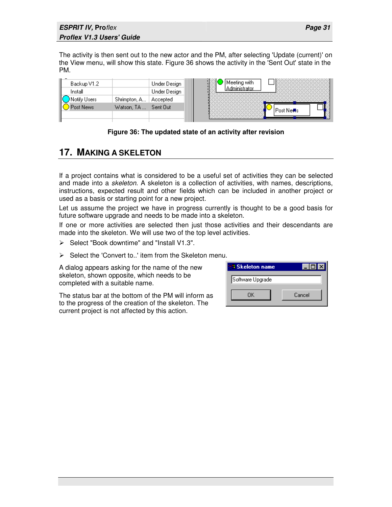The activity is then sent out to the new actor and the PM, after selecting 'Update (current)' on the View menu, will show this state. Figure 36 shows the activity in the 'Sent Out' state in the PM.

| Backup V1.2  |              | Under Design | Meeting with  |
|--------------|--------------|--------------|---------------|
| Install      |              | Under Design |               |
| Notify Users | Shrimpton, A | Accepted     |               |
| Post News:   | Watson, TA   | Sent Out     | l Post Ne∰s i |
|              |              |              |               |



## **17. MAKING A SKELETON**

If a project contains what is considered to be a useful set of activities they can be selected and made into a skeleton. A skeleton is a collection of activities, with names, descriptions, instructions, expected result and other fields which can be included in another project or used as a basis or starting point for a new project.

Let us assume the project we have in progress currently is thought to be a good basis for future software upgrade and needs to be made into a skeleton.

If one or more activities are selected then just those activities and their descendants are made into the skeleton. We will use two of the top level activities.

- $\triangleright$  Select "Book downtime" and "Install V1.3".
- $\triangleright$  Select the 'Convert to..' item from the Skeleton menu.

A dialog appears asking for the name of the new skeleton, shown opposite, which needs to be completed with a suitable name.

The status bar at the bottom of the PM will inform as to the progress of the creation of the skeleton. The current project is not affected by this action.

| <b>Skeleton name</b> |        |
|----------------------|--------|
| Software Upgrade     |        |
| ΠK                   | Cancel |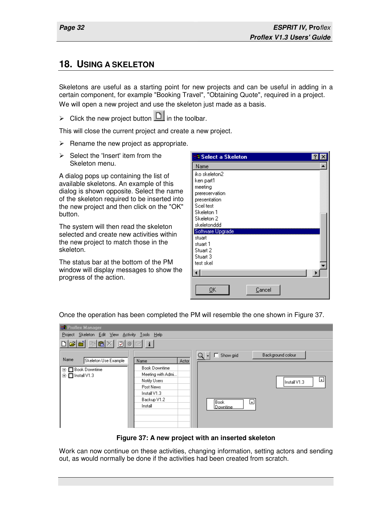#### **18. USING A SKELETON**

Skeletons are useful as a starting point for new projects and can be useful in adding in a certain component, for example "Booking Travel", "Obtaining Quote", required in a project. We will open a new project and use the skeleton just made as a basis.

 $\triangleright$  Click the new project button  $\Box$  in the toolbar.

This will close the current project and create a new project.

- $\triangleright$  Rename the new project as appropriate.
- $\triangleright$  Select the 'Insert' item from the Skeleton menu.

A dialog pops up containing the list of available skeletons. An example of this dialog is shown opposite. Select the name of the skeleton required to be inserted into the new project and then click on the "OK" button.

The system will then read the skeleton selected and create new activities within the new project to match those in the skeleton.

The status bar at the bottom of the PM window will display messages to show the progress of the action.



Once the operation has been completed the PM will resemble the one shown in Figure 37.

| <b>BR</b> Proflex Manager                          |                                                                                                                  |                                                                |  |  |  |  |  |
|----------------------------------------------------|------------------------------------------------------------------------------------------------------------------|----------------------------------------------------------------|--|--|--|--|--|
|                                                    | Project Skeleton Edit View Activity Tools Help                                                                   |                                                                |  |  |  |  |  |
|                                                    |                                                                                                                  |                                                                |  |  |  |  |  |
| Name<br>Skeleton Use Example                       | Actor<br>Name                                                                                                    | $Q - \Box$<br>Background colour<br>Show grid                   |  |  |  |  |  |
| El <sup></sup> ■ Book Downtime<br>画 □ Install V1.3 | <b>Book Downtime</b><br>Meeting with Admi<br>Notify Users<br>Post News<br>Install V1.3<br>Backup V1.2<br>Install | ᄖ<br>Install V1.3<br>Book<br>$\left  + \right $<br>l Downtime. |  |  |  |  |  |

**Figure 37: A new project with an inserted skeleton** 

Work can now continue on these activities, changing information, setting actors and sending out, as would normally be done if the activities had been created from scratch.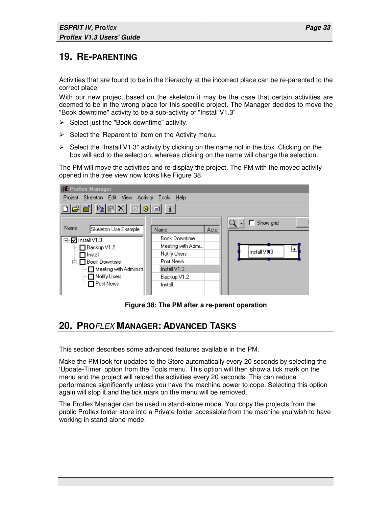## **19. RE-PARENTING**

Activities that are found to be in the hierarchy at the incorrect place can be re-parented to the correct place.

With our new project based on the skeleton it may be the case that certain activities are deemed to be in the wrong place for this specific project. The Manager decides to move the "Book downtime" activity to be a sub-activity of "Install V1.3"

- $\triangleright$  Select just the "Book downtime" activity.
- $\triangleright$  Select the 'Reparent to' item on the Activity menu.
- $\triangleright$  Select the "Install V1.3" activity by clicking on the name not in the box. Clicking on the box will add to the selection, whereas clicking on the name will change the selection.

The PM will move the activities and re-display the project. The PM with the moved activity opened in the tree view now looks like Figure 38.

| <b>BR</b> Proflex Manager                                                                                                                                    |                                                                                                                  |                     |
|--------------------------------------------------------------------------------------------------------------------------------------------------------------|------------------------------------------------------------------------------------------------------------------|---------------------|
| Project Skeleton Edit View Activity Tools Help                                                                                                               |                                                                                                                  |                     |
| $D$ $\boldsymbol{\beta}$ $\boldsymbol{\epsilon}$ b $\boldsymbol{\epsilon}$ $\times$ $\boldsymbol{\beta}$ $\boldsymbol{\theta}$ $\boldsymbol{\epsilon}$ i     |                                                                                                                  |                     |
| Name<br>Skeleton Use Example                                                                                                                                 | Name                                                                                                             | Show grid<br>Actor  |
| <b>☑</b> Install V1.3<br>⊟…<br>□ Backup V1.2<br>$\sqcap$ Install<br>白·□ Book Downtime<br>$\Box$ Meeting with Administr<br>├─ □ Notify Users<br>ं □ Post News | <b>Book Downtime</b><br>Meeting with Admi<br>Notify Users<br>Post News<br>Install V1.3<br>Backup V1.2<br>Install | $+$<br> Install∨1∎3 |

**Figure 38: The PM after a re-parent operation** 

### **20. PRO**FLEX **MANAGER: ADVANCED TASKS**

This section describes some advanced features available in the PM.

Make the PM look for updates to the Store automatically every 20 seconds by selecting the 'Update-Timer' option from the Tools menu. This option will then show a tick mark on the menu and the project will reload the activities every 20 seconds. This can reduce performance significantly unless you have the machine power to cope. Selecting this option again will stop it and the tick mark on the menu will be removed.

The Proflex Manager can be used in stand-alone mode. You copy the projects from the public Proflex folder store into a Private folder accessible from the machine you wish to have working in stand-alone mode.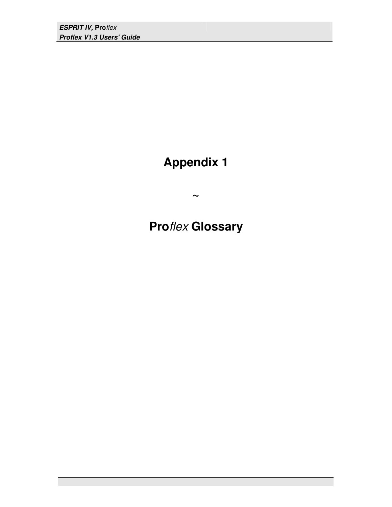**ESPRIT IV, Pro**flex **Proflex V1.3 Users' Guide** 

## **Appendix 1**

**~** 

## **Pro**flex **Glossary**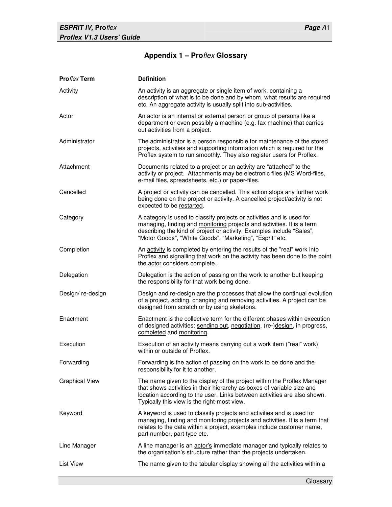#### **Appendix 1 – Pro**flex **Glossary**

| <b>Proflex Term</b>   | <b>Definition</b>                                                                                                                                                                                                                                                                    |
|-----------------------|--------------------------------------------------------------------------------------------------------------------------------------------------------------------------------------------------------------------------------------------------------------------------------------|
| Activity              | An activity is an aggregate or single item of work, containing a<br>description of what is to be done and by whom, what results are required<br>etc. An aggregate activity is usually split into sub-activities.                                                                     |
| Actor                 | An actor is an internal or external person or group of persons like a<br>department or even possibly a machine (e.g. fax machine) that carries<br>out activities from a project.                                                                                                     |
| Administrator         | The administrator is a person responsible for maintenance of the stored<br>projects, activities and supporting information which is required for the<br>Proflex system to run smoothly. They also register users for Proflex.                                                        |
| Attachment            | Documents related to a project or an activity are "attached" to the<br>activity or project. Attachments may be electronic files (MS Word-files,<br>e-mail files, spreadsheets, etc.) or paper-files.                                                                                 |
| Cancelled             | A project or activity can be cancelled. This action stops any further work<br>being done on the project or activity. A cancelled project/activity is not<br>expected to be restarted.                                                                                                |
| Category              | A category is used to classify projects or activities and is used for<br>managing, finding and monitoring projects and activities. It is a term<br>describing the kind of project or activity. Examples include "Sales",<br>"Motor Goods", "White Goods", "Marketing", "Esprit" etc. |
| Completion            | An activity is completed by entering the results of the "real" work into<br>Proflex and signalling that work on the activity has been done to the point<br>the actor considers complete                                                                                              |
| Delegation            | Delegation is the action of passing on the work to another but keeping<br>the responsibility for that work being done.                                                                                                                                                               |
| Design/re-design      | Design and re-design are the processes that allow the continual evolution<br>of a project, adding, changing and removing activities. A project can be<br>designed from scratch or by using skeletons.                                                                                |
| Enactment             | Enactment is the collective term for the different phases within execution<br>of designed activities: sending out, negotiation, (re-)design, in progress,<br>completed and monitoring.                                                                                               |
| Execution             | Execution of an activity means carrying out a work item ("real" work)<br>within or outside of Proflex.                                                                                                                                                                               |
| Forwarding            | Forwarding is the action of passing on the work to be done and the<br>responsibility for it to another.                                                                                                                                                                              |
| <b>Graphical View</b> | The name given to the display of the project within the Proflex Manager<br>that shows activities in their hierarchy as boxes of variable size and<br>location according to the user. Links between activities are also shown.<br>Typically this view is the right-most view.         |
| Keyword               | A keyword is used to classify projects and activities and is used for<br>managing, finding and monitoring projects and activities. It is a term that<br>relates to the data within a project, examples include customer name,<br>part number, part type etc.                         |
| Line Manager          | A line manager is an actor's immediate manager and typically relates to<br>the organisation's structure rather than the projects undertaken.                                                                                                                                         |
| <b>List View</b>      | The name given to the tabular display showing all the activities within a                                                                                                                                                                                                            |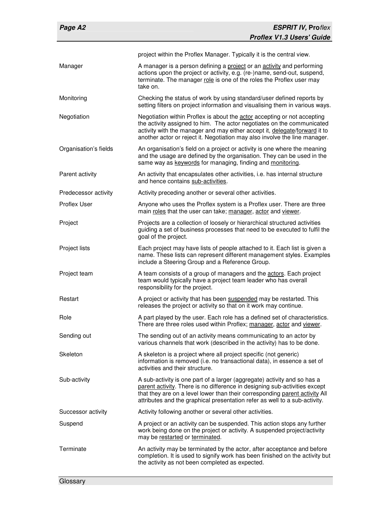| Page A2               | <b>ESPRIT IV, Proflex</b>                                                                                                                                                                                                                                                                                           |
|-----------------------|---------------------------------------------------------------------------------------------------------------------------------------------------------------------------------------------------------------------------------------------------------------------------------------------------------------------|
|                       | <b>Proflex V1.3 Users' Guide</b>                                                                                                                                                                                                                                                                                    |
|                       | project within the Proflex Manager. Typically it is the central view.                                                                                                                                                                                                                                               |
| Manager               | A manager is a person defining a project or an activity and performing<br>actions upon the project or activity, e.g. (re-)name, send-out, suspend,<br>terminate. The manager role is one of the roles the Proflex user may<br>take on.                                                                              |
| Monitoring            | Checking the status of work by using standard/user defined reports by<br>setting filters on project information and visualising them in various ways.                                                                                                                                                               |
| Negotiation           | Negotiation within Proflex is about the actor accepting or not accepting<br>the activity assigned to him. The actor negotiates on the communicated<br>activity with the manager and may either accept it, delegate/forward it to<br>another actor or reject it. Negotiation may also involve the line manager.      |
| Organisation's fields | An organisation's field on a project or activity is one where the meaning<br>and the usage are defined by the organisation. They can be used in the<br>same way as keywords for managing, finding and monitoring.                                                                                                   |
| Parent activity       | An activity that encapsulates other activities, i.e. has internal structure<br>and hence contains sub-activities.                                                                                                                                                                                                   |
| Predecessor activity  | Activity preceding another or several other activities.                                                                                                                                                                                                                                                             |
| Proflex User          | Anyone who uses the Proflex system is a Proflex user. There are three<br>main roles that the user can take; manager, actor and viewer.                                                                                                                                                                              |
| Project               | Projects are a collection of loosely or hierarchical structured activities<br>guiding a set of business processes that need to be executed to fulfil the<br>goal of the project.                                                                                                                                    |
| Project lists         | Each project may have lists of people attached to it. Each list is given a<br>name. These lists can represent different management styles. Examples<br>include a Steering Group and a Reference Group.                                                                                                              |
| Project team          | A team consists of a group of managers and the actors. Each project<br>team would typically have a project team leader who has overall<br>responsibility for the project.                                                                                                                                           |
| Restart               | A project or activity that has been suspended may be restarted. This<br>releases the project or activity so that on it work may continue.                                                                                                                                                                           |
| Role                  | A part played by the user. Each role has a defined set of characteristics.<br>There are three roles used within Proflex; manager, actor and viewer.                                                                                                                                                                 |
| Sending out           | The sending out of an activity means communicating to an actor by<br>various channels that work (described in the activity) has to be done.                                                                                                                                                                         |
| Skeleton              | A skeleton is a project where all project specific (not generic)<br>information is removed (i.e. no transactional data), in essence a set of<br>activities and their structure.                                                                                                                                     |
| Sub-activity          | A sub-activity is one part of a larger (aggregate) activity and so has a<br>parent activity. There is no difference in designing sub-activities except<br>that they are on a level lower than their corresponding parent activity All<br>attributes and the graphical presentation refer as well to a sub-activity. |
| Successor activity    | Activity following another or several other activities.                                                                                                                                                                                                                                                             |
| Suspend               | A project or an activity can be suspended. This action stops any further<br>work being done on the project or activity. A suspended project/activity<br>may be restarted or terminated.                                                                                                                             |
| Terminate             | An activity may be terminated by the actor, after acceptance and before<br>completion. It is used to signify work has been finished on the activity but<br>the activity as not been completed as expected.                                                                                                          |